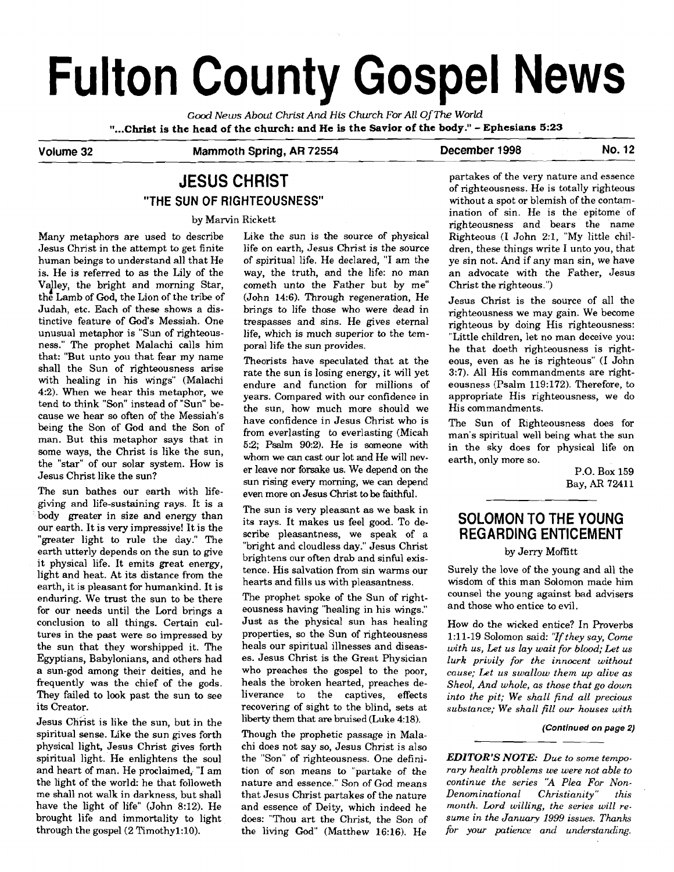# **Fulton County Gospel News**

Good News About Christ And His Church For All Of The World **"...Christ is the head of the church: and He is the Savior of the body!'** - **Ephesians 5:23** 

# Volume 32 **Mammoth Spring, AR 72554** December 1998 No. 12

# **JESUS CHRIST "THE SUN OF RIGHTEOUSNESS"**

#### by Marvin Rickett

Many metaphors are used to describe Jesus Christ in the attempt to get finite human beings to understand all that He is. He is referred to as the Lily of the Valley, the bright and morning Star, the Lamb of God, the Lion of the tribe of Judah, etc. Each of these shows a distinctive feature of God's Messiah. One unusual metaphor is "Sun of righteousness." The prophet Malachi calls him that: "But unto you that fear my name shall the Sun of righteousness arise with healing in his wings" (Malachi **42).** When we hear this metaphor, we tend to think "Son" instead of "Sun" because we hear so often of the Messiah's being the Son of God and the Son of man. But this metaphor says that in some ways, the Christ is like the sun, the "star" of our solar system. How is Jesus Christ like the sun?

The sun bathes our earth with lifegiving and life-sustaining rays. It is a body greater in size and energy than our earth. It is very impressive! It is the "greater light to rule the day." The earth utterly depends on the sun to give it physical life. It emits great energy, light and heat. At its distance from the earth, it is pleasant for humankind. It is enduring. We trust the sun to be there for our needs until the Lord brings a conclusion to all things. Certain cultures in the past were so impressed by the sun that they worshipped it. The Egyptians, Babylonians, and others had a sun-god among their deities, and he frequently was the chief of the gods. They failed to look past the sun to see its Creator.

Jesus Christ is like the sun, but in the spiritual sense. Like the sun gives forth physical light, Jesus Christ gives forth spiritual light. He enlightens the soul and heart of man. He proclaimed, "I am the light of the world: he that followeth me shall not walk in darkness, but shall have the light of life" (John 8:12). He brought life and immortality to light through the gospel (2 Timothy1:lO).

Like the sun is the source of physical life on earth, Jesus Christ is the source of spiritual life. He declared, "I am the way, the truth, and the life: no man cometh unto the Father but by me" (John 14:6). Through regeneration, He brings to life those who were dead in trespasses and sins. He gives eternal life, which is much superior to the temporal life the sun provides.

Theorists have speculated that at the rate the sun is losing energy, it will yet endure and function for millions of years. Compared with our confidence in the sun, how much more should we have confidence in Jesus Christ who is from everlasting **to** everlasting (Micah 5:2; Psalm 90:2). He is someone with whom we **can** cast our lot and He will never leave nor forsake us. We depend on the sun rising every morning, we can depend even more on Jesus Christ to be faithful.

The sun is very pleasant as we bask in its rays. It makes us feel good. To describe pleasantness, we speak of a "bright and cloudless day." Jesus Christ brightens our often drab and sinful existence. His salvation from sin warms our hearts and fills us with pleasantness.

The prophet spoke of the Sun of righteousness having "healing in his wings." Just as the physical sun has healing properties, so the Sun of righteousness heals our spiritual illnesses and diseases. Jesus Christ is the Great Physician who preaches the gospel to the poor, heals the broken hearted, preaches deliverance to the captives, effects recovering of sight to the blind, sets at liberty them that are bruised (Luke 4:18).

Though the prophetic passage in Malachi does not say so, Jesus Christ is also the "Son" of righteousness. One definition of son means to "partake of the nature and essence." Son of God means that Jesus Christ partakes of the nature and essence of Deity, which indeed he does: "Thou art the Christ, the Son of the living God" (Matthew 16:16). He partakes of the very nature and essence of righteousness. He is totally righteous without a spot or blemish of the contamination of sin. He is the epitome of righteousness and bears the name Righteous (1 John 2:1, "My little children, these things write I unto you, that ye sin not. And if any man sin, we have an advocate with the Father, Jesus Christ the righteous.")

Jesus Christ is the source of all the righteousness we may gain. We become righteous by doing His righteousness: "Little children, let no man deceive you: he that doeth righteousness is righteous, even as he is righteous" (I John 3:7). All His commandments are righteousness (Psalm 119:172). Therefore, to appropriate His righteousness, we do His commandments.

The Sun of Righteousness does for man's spiritual well being what the sun in the sky does for physical life on earth, only more so.

> P.O. Box 159 Bay, **AR** 72411

# **SOLOMON TO THE YOUNG REGARDING ENTICEMENT**

## by Jerry Moffitt

Surely the love of the young and all the wisdom of this man Solomon made him counsel the young against **bad** advisers and those who entice to evil.

How do the wicked entice? In Proverbs 131-19 Solomon said: *'7f they say, Come with US, Let us lay wait for blood; Let us lurk privily for the innocent without cause; Let us swallow them up alive as Sheol, And whole, as those that go down into the pit; We shall find all precious substance; We shall fill our houses with* 

#### **(Continued on page 2)**

*EDITOR'S NOTE: Due to some temporary health problems we were not able to continue the series "A Plea For Non-*<br>Denominational Christianity" this  $Denominational$ *month. Lard willing, the series will resume in the January 1999 issues. Thanks for your patience and understanding.*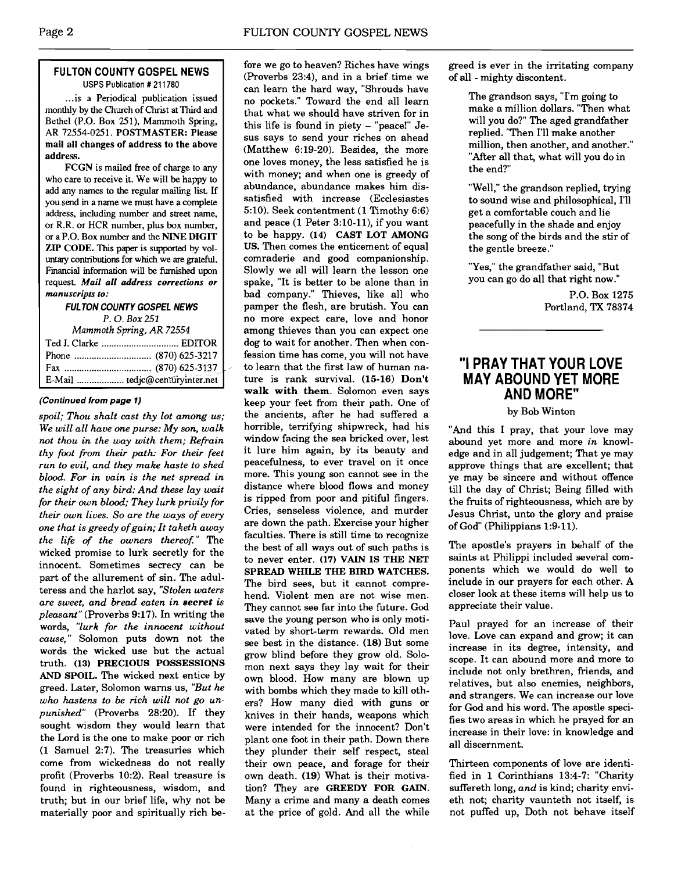# **FULTON COUNTY GOSPEL NEWS**  USPS Publication # 21 1780

... is a Periodical publication issued monthly by the Church of Christ at Third and Bethel (P.O. Box 251), Mammoth Spring, AR 72554-0251. POSTMASTER: Please mail all changes of address to the above address.

FCGN is mailed free of charge to any who care to receive it. We will be happy to add any names to the regular mailing list If you send in a name we must have a complete address, including number and street name. or R.R. or HCR number, plus box number, or a P.O. Box number and the NINE DIGIT ZIP CODE. This paper is supported by vol**untary** contributions for which we are grateful. Financial information will be **furnished** upon request. *Mail all* **address corrections or manuscripts to:** 

**FUL TON COUNTY GOSPEL NEWS** 

*P.* 0. *Box* **<sup>251</sup>** *Mammoth* **Spring,** *AR* **72554** 

| Ted J. Clarke  EDITOR          |  |
|--------------------------------|--|
|                                |  |
|                                |  |
| E-Mail  tedjc@centuryinter.net |  |

## **(Continued from page 1)**

*spoil; Thou shalt cast thy lot among us; We will all have one purse: My son, walk not thou in the way with them; Refrain thy foot from their path: For their feet run to evil, and they make haste to shed blood. For in vain is the net spread in the sight of any bird: And these lay wait for their own blood; They lurk privily for their own lives. So are the ways of every one that is greedy of gain; It taketh away the life of the owners thereofi"* The wicked promise to lurk secretly for the innocent. Sometimes secrecy can be part of the allurement of sin. The adulteress and the harlot say, *"Stolen waters are sweet, and bread eaten in secret is pleasant"* (Proverbs 9:17). In writing the words, *"lurk for the innocent without cause,"* Solomon puts down not the words the wicked use but the actual truth. **(13) PRECIOUS POSSESSIONS AND SPOIL.** The wicked next entice by greed. Later, Solomon warns us, *"But he who hastens to be rich will not go unpunished"* (Proverbs 28:20). If they sought wisdom they would learn that the Lord is the one to make poor or rich (1 Samuel 2:7). The treasuries which come from wickedness do not really their own peace, and forage for their Thirteen components of love are identi-<br>profit (Proverbs 10:2). Real treasure is own death. (19) What is their motiva- fied in 1 Corinthians 13:4-7: profit (Proverbs 10:2). Real treasure is own death. (19) What is their motiva-<br>found in righteousness, wisdom, and tion? They are GREEDY FOR GAIN. suffereth long, and is kind; charity envimaterially poor and spiritually rich be- at the price of gold. And all the while

fore we go to heaven? Riches have wings (Proverbs 23:4), and in a brief time we can learn the hard way, "Shrouds have no pockets." Toward the end all learn that what we should have striven for in this life is found in piety - "peace!" Jesus says to send your riches on ahead (Matthew 6:19-20). Besides, the more one loves money, the less satisfied he is with money; and when one is greedy of abundance. abundance makes him dissatisfied with increase (Ecclesiastes 5:lO). Seek contentment (1 Timothy 6:6) and peace (1 Peter 3:lO-ll), if you want to be happy. **(14) CAST LOT AMONG US.** Then comes the enticement of equal comraderie and good companionship. Slowly we all will learn the lesson one spake, "It is better to be alone than in bad company." Thieves, like all who pamper the flesh, are brutish. You can no more expect care, love and honor among thieves than you can expect one dog to wait for another. Then when confession time has come, you will not have to learn that the first law of human nature is rank survival. (15-16) **Don't walk with them.** Solomon even says keep your feet from their path. One of the ancients, after he had suffered a horrible, terrifying shipwreck, had his window facing the sea bricked over, lest it lure him again, by its beauty and peacefulness, to ever travel on it once more. This young son cannot see in the distance where blood flows and money is ripped from poor and pitiful fingers. Cries, senseless violence, and murder are down the path. Exercise your higher faculties. There is still time to recognize the best of all ways out of such paths is to never enter. **(17) VAIN IS THE NET SPREAD WHILE THE BIRD WATCHES.**  The bird sees, but it cannot comprehend. Violent men are not wise men. They cannot see far into the future. God save the young person who is only motivated by short-term rewards. Old men see best in the distance. (18) But some grow blind before they grow old. Solomon next says they lay wait for their own blood. How many are blown up with bombs which they made to kill others? How many died with guns or knives in their hands, weapons which were intended for the innocent? Don't plant one foot in their path. Down there they plunder their self respect, steal tion? They are GREEDY FOR GAIN. truth; but in our brief life, why not be Many a crime and many a death comes eth not; charity vaunteth not itself, is<br>materially poor and spiritually rich be- at the price of gold. And all the while not puffed up, Doth not

greed is ever in the irritating company of all - mighty discontent.

> The grandson says, "I'm going to make a million dollars. "Then what will you do?" The aged grandfather replied. "Then I'll make another million, then another, and another." "After all that, what will you do in the end?"

> "Well," the grandson replied, trying to sound wise and philosophical, I'll get a comfortable couch and lie peacefully in the shade and enjoy the song of the birds and the stir of the gentle breeze."

"Yes," the grandfather said, "But you can go do all that right now."

> P.O. Box 1275 Portland, **TX** 78374

# **"I PRAY THAT YOUR LOVE MAY ABOUND YET MORE AND MORE"**

# by Bob Winton

"And this I pray, that your love may abound yet more and more *in* knowledge and in all judgement; That ye may approve things that are excellent; that ye may be sincere and without offence till the day of Christ; Being filled with the fruits of righteousness, which are by Jesus Christ, unto the glory and praise of God" (Philippians 1:9-11).

The apostle's prayers in behalf of the saints at Philippi included several components which we would do well to include in our prayers for each other. A closer look at these items will help us to appreciate their value.

Paul prayed for an increase of their love. Love can expand and grow; it can increase in its degree, intensity, and scope. It can abound more and more to include not only brethren, friends, and relatives, but also enemies, neighbors, and strangers. We can increase our love for God and his word. The apostle specifies two areas in which he prayed for an increase in their love: in knowledge and all discernment.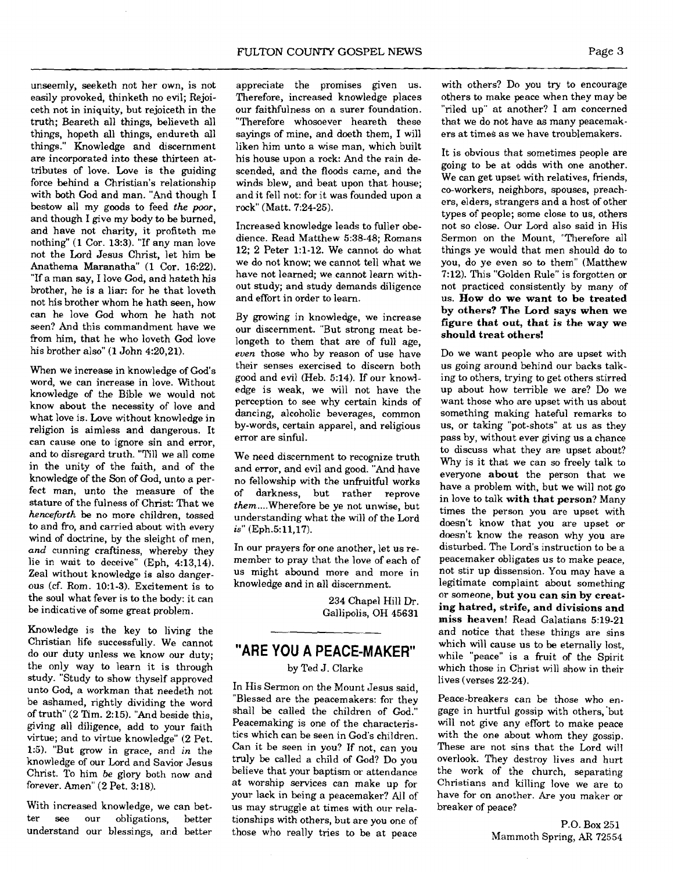unseemly, seeketh not her own, is not easily provoked, thinketh no evil; Rejoiceth not in iniquity, but rejoiceth in the truth; Beareth all things, believeth all things, hopeth all things, endureth all things." Knowledge and discernment are incorporated into these thirteen attributes of love. Love is the guiding force behind a Christian's relationship with both God and man. "And though I bestow all my goods to feed *the poor,*  and though I give my body to be burned, and have not charity, it profiteth me nothing" (1 Cor. 13:3). "If any man love not the Lord Jesus Christ, let him be Anathema Maranatha" (1 Cor. 16:22). "If a man say, I love God, and hateth his brother, he is a liar: for he that loveth not his brother whom he hath seen, how can he love God whom he hath not seen? And this commandment have we from him, that he who loveth God love his brother also" (1 John 4:20,21).

When we increase in knowledge of God's word, we can increase in love. Without knowledge of the Bible we would not know about the necessity of love and what love is. Love without knowledge in religion is aimless and dangerous. It can cause one to ignore sin and error, and to disregard truth. "Till we all come in the unity of the faith, and of the knowledge of the Son of God, unto a perfect man, unto the measure of the stature of the fulness of Christ: That we *henceforth* be no more children, tossed to and fro, and carried about with every wind of doctrine, by the sleight of men, and cunning craftiness, whereby they lie in wait to deceive" (Eph, 4:13,14). Zeal without knowledge is also dangerous (cf. Rom. 10:l-3). Excitement is to the soul what fever is to the body: it can be indicative of some great problem.

Knowledge is the key to living the Christian life successfully. We cannot do our duty unless we know our duty; the only way to learn it is through study. "Study to show thyself approved unto God, a workman that needeth not be ashamed, rightly dividing the word of truth" (2 Tim. 2:15). "And beside this, giving all diligence, add to your faith virtue; and to virtue knowledge" (2 Pet. 1:5). "But grow in grace, and in the knowledge of our Lord and Savior Jesus Christ. To him be glory both now and forever. Amen" (2 Pet. 3:18).

With increased knowledge, we can better see our obligations, better understand our blessings, and better appreciate the promises given us. Therefore, increased knowledge places our faithfulness on a surer foundation. "Therefore whosoever heareth these sayings of mine, and doeth them, I will liken him unto a wise man, which built his house upon a rock: And the rain descended, and the floods came, and the winds blew, and beat upon that house; and it fell not: for it was founded upon a rock" (Matt. 7:24-25).

Increased knowledge leads to fuller obedience. Read Matthew 5:38-48; Romans 12; 2 Peter 1:l-12. We cannot do what we do not know; we cannot tell what we have not learned; we cannot learn without study; and study demands diligence and effort in order to learn.

By growing in knowledge, we increase our discernment. "But strong meat belongeth to them that are of full age, *even* those who by reason of use have their senses exercised to discern both good and evil (Heb. 5:14). If our knowledge is weak, we will not have the perception to see why certain kinds of dancing, alcoholic beverages, common by-words, certain apparel, and religious error are sinful.

We need discernment to recognize truth and error, and evil and good. "And have no fellowship with the unfruitful works darkness, but rather reprove them .... Wherefore be ye not unwise, but understanding what the will of the Lord is" (Eph.5:11,17).

In our prayers for one another, let us remember to pray that the love of each of us might abound more and more in knowledge and in all discernment.

> 234 Chapel Hill Dr. Gallipolis, OH 45631

# **"ARE YOU A PEACE-MAKER"**

by Ted **J.** Clarke

In His Sermon on the Mount Jesus said, "Blessed are the peacemakers: for they shall be called the children of God." Peacemaking is one of the characteristics which can be seen in God's children. Can it be seen in you? If not, can you truly be called a child of God? Do you believe that your baptism or attendance at worship services can make up for your lack in being a peacemaker? All of us may struggle at times with our relationships with others, but are you one of those who really tries to be at peace

with others? Do you try to encourage others to make peace when they may be "riled up" at another? I am concerned that we do not have as many peacemakers at times as we have troublemakers.

It is obvious that sometimes people are going to be at odds with one another. We can get upset with relatives, friends, co-workers, neighbors, spouses, preachers, elders, strangers and a host of other types of people; some close to us, others not so close. Our Lord also said in His Sermon on the Mount, "Therefore all things ye would that men should do to you, do ye even so to them" (Matthew 7:12). This "Golden Rule" is forgotten or not practiced consistently by many of us. How do we want to be treated by others? The Lord says when we figure that out, that is the way we should treat others!

Do we want people who are upset with us going around behind our backs talking to others, trying to get others stirred up about how terrible we are? Do we want those who are upset with us about something making hateful remarks to us, or taking "pot-shots" at us as they pass by, without ever giving us a chance to discuss what they are upset about? Why is it that we can so freely talk to everyone about the person that we have a problem with, but we will not go in love to talk with that person? Many times the person you are upset with doesn't know that you are upset or doesn't know the reason why you are disturbed. The Lord's instruction to be a peacemaker obligates us to make peace, not stir up dissension. You may have a legitimate complaint about something or someone, but you can sin by creating hatred, strife, and divisions and miss heaven! Read Galatians 5:19-21 and notice that these things are sins which will cause us to be eternally lost, while "peace" is a fruit of the Spirit which those in Christ will show in their lives (verses 22-24).

Peace-breakers can be those who engage in hurtful gossip with others,'but will not give any effort to make peace with the one about whom they gossip. These are not sins that the Lord will overlook. They destroy lives and hurt the work of the church, separating Christians and killing love we are to have for on another. Are you maker or breaker of peace?

> P.0. Box 251 Mammoth Spring, AR 72554